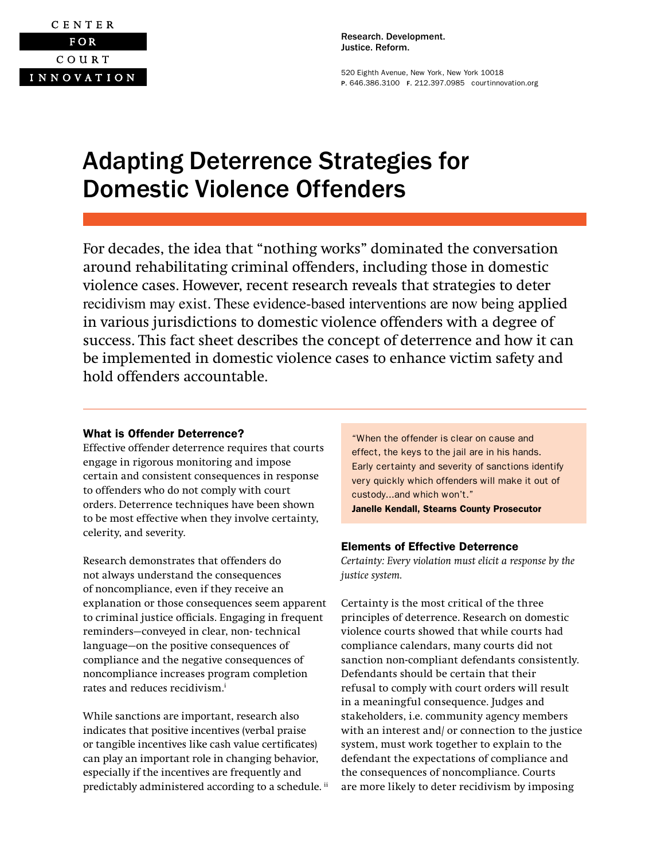

Research. Development. Justice. Reform.

520 Eighth Avenue, New York, New York 10018 P. 646.386.3100 F. 212.397.0985 [courtinnovation.org](http://www.courtinnovation.org)

# Adapting Deterrence Strategies for Domestic Violence Offenders

For decades, the idea that "nothing works" dominated the conversation around rehabilitating criminal offenders, including those in domestic violence cases. However, recent research reveals that strategies to deter recidivism may exist. These evidence-based interventions are now being applied in various jurisdictions to domestic violence offenders with a degree of success. This fact sheet describes the concept of deterrence and how it can be implemented in domestic violence cases to enhance victim safety and hold offenders accountable.

## What is Offender Deterrence?

Effective offender deterrence requires that courts engage in rigorous monitoring and impose certain and consistent consequences in response to offenders who do not comply with court orders. Deterrence techniques have been shown to be most effective when they involve certainty, celerity, and severity.

Research demonstrates that offenders do not always understand the consequences of noncompliance, even if they receive an explanation or those consequences seem apparent to criminal justice officials. Engaging in frequent reminders—conveyed in clear, non- technical language—on the positive consequences of compliance and the negative consequences of noncompliance increases program completion rates and reduces recidivism.<sup>i</sup>

While sanctions are important, research also indicates that positive incentives (verbal praise or tangible incentives like cash value certificates) can play an important role in changing behavior, especially if the incentives are frequently and predictably administered according to a schedule.<sup>ii</sup> "When the offender is clear on cause and effect, the keys to the jail are in his hands. Early certainty and severity of sanctions identify very quickly which offenders will make it out of custody...and which won't." Janelle Kendall, Stearns County Prosecutor

## Elements of Effective Deterrence

*Certainty: Every violation must elicit a response by the justice system.* 

Certainty is the most critical of the three principles of deterrence. Research on domestic violence courts showed that while courts had compliance calendars, many courts did not sanction non-compliant defendants consistently. Defendants should be certain that their refusal to comply with court orders will result in a meaningful consequence. Judges and stakeholders, i.e. community agency members with an interest and/ or connection to the justice system, must work together to explain to the defendant the expectations of compliance and the consequences of noncompliance. Courts are more likely to deter recidivism by imposing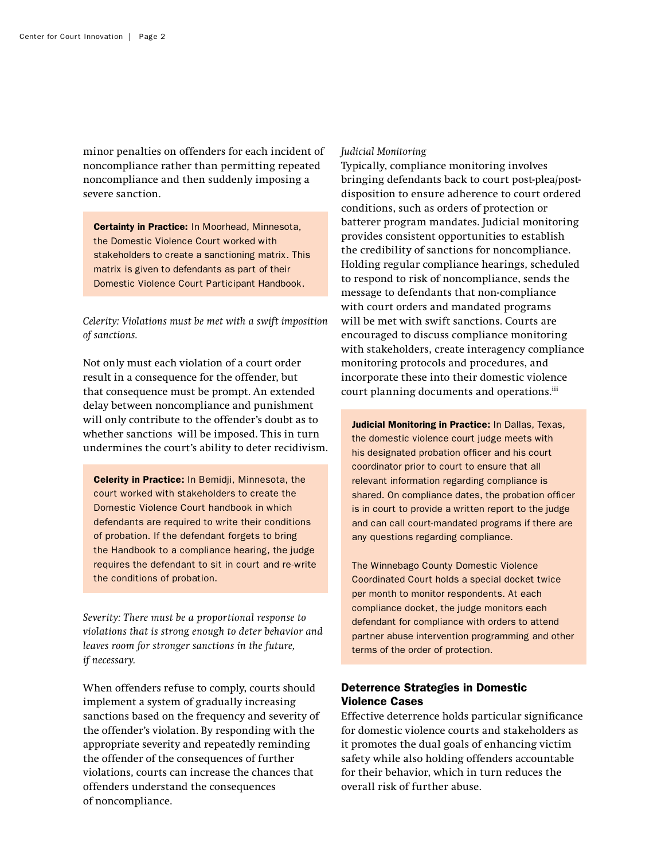minor penalties on offenders for each incident of noncompliance rather than permitting repeated noncompliance and then suddenly imposing a severe sanction.

Certainty in Practice: In Moorhead, Minnesota, the Domestic Violence Court worked with stakeholders to create a sanctioning matrix. This matrix is given to defendants as part of their Domestic Violence Court Participant Handbook.

*Celerity: Violations must be met with a swift imposition of sanctions.*

Not only must each violation of a court order result in a consequence for the offender, but that consequence must be prompt. An extended delay between noncompliance and punishment will only contribute to the offender's doubt as to whether sanctions will be imposed. This in turn undermines the court's ability to deter recidivism.

Celerity in Practice: In Bemidji, Minnesota, the court worked with stakeholders to create the Domestic Violence Court handbook in which defendants are required to write their conditions of probation. If the defendant forgets to bring the Handbook to a compliance hearing, the judge requires the defendant to sit in court and re-write the conditions of probation.

*Severity: There must be a proportional response to violations that is strong enough to deter behavior and leaves room for stronger sanctions in the future, if necessary.*

When offenders refuse to comply, courts should implement a system of gradually increasing sanctions based on the frequency and severity of the offender's violation. By responding with the appropriate severity and repeatedly reminding the offender of the consequences of further violations, courts can increase the chances that offenders understand the consequences of noncompliance.

#### *Judicial Monitoring*

Typically, compliance monitoring involves bringing defendants back to court post-plea/postdisposition to ensure adherence to court ordered conditions, such as orders of protection or batterer program mandates. Judicial monitoring provides consistent opportunities to establish the credibility of sanctions for noncompliance. Holding regular compliance hearings, scheduled to respond to risk of noncompliance, sends the message to defendants that non-compliance with court orders and mandated programs will be met with swift sanctions. Courts are encouraged to discuss compliance monitoring with stakeholders, create interagency compliance monitoring protocols and procedures, and incorporate these into their domestic violence court planning documents and operations.iii

Judicial Monitoring in Practice: In Dallas, Texas, the domestic violence court judge meets with his designated probation officer and his court coordinator prior to court to ensure that all relevant information regarding compliance is shared. On compliance dates, the probation officer is in court to provide a written report to the judge and can call court-mandated programs if there are any questions regarding compliance.

The Winnebago County Domestic Violence Coordinated Court holds a special docket twice per month to monitor respondents. At each compliance docket, the judge monitors each defendant for compliance with orders to attend partner abuse intervention programming and other terms of the order of protection.

# Deterrence Strategies in Domestic Violence Cases

Effective deterrence holds particular significance for domestic violence courts and stakeholders as it promotes the dual goals of enhancing victim safety while also holding offenders accountable for their behavior, which in turn reduces the overall risk of further abuse.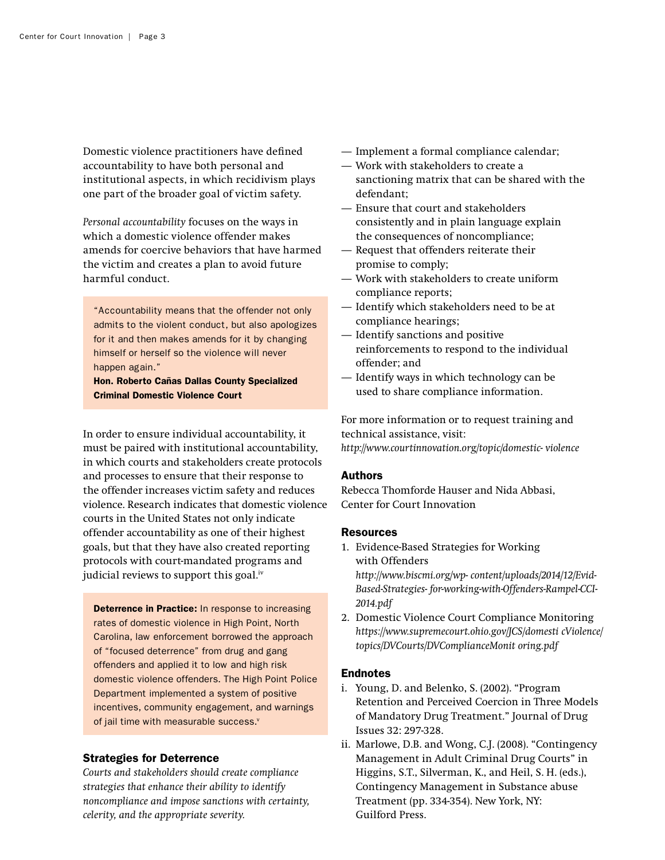Domestic violence practitioners have defined accountability to have both personal and institutional aspects, in which recidivism plays one part of the broader goal of victim safety.

*Personal accountability* focuses on the ways in which a domestic violence offender makes amends for coercive behaviors that have harmed the victim and creates a plan to avoid future harmful conduct.

"Accountability means that the offender not only admits to the violent conduct, but also apologizes for it and then makes amends for it by changing himself or herself so the violence will never happen again."

Hon. Roberto Cañas Dallas County Specialized Criminal Domestic Violence Court

In order to ensure individual accountability, it must be paired with institutional accountability, in which courts and stakeholders create protocols and processes to ensure that their response to the offender increases victim safety and reduces violence. Research indicates that domestic violence courts in the United States not only indicate offender accountability as one of their highest goals, but that they have also created reporting protocols with court-mandated programs and judicial reviews to support this goal.<sup>iv</sup>

**Deterrence in Practice:** In response to increasing rates of domestic violence in High Point, North Carolina, law enforcement borrowed the approach of "focused deterrence" from drug and gang offenders and applied it to low and high risk domestic violence offenders. The High Point Police Department implemented a system of positive incentives, community engagement, and warnings of jail time with measurable success.<sup>v</sup>

### Strategies for Deterrence

*Courts and stakeholders should create compliance strategies that enhance their ability to identify noncompliance and impose sanctions with certainty, celerity, and the appropriate severity.*

- Implement a formal compliance calendar;
- Work with stakeholders to create a sanctioning matrix that can be shared with the defendant;
- Ensure that court and stakeholders consistently and in plain language explain the consequences of noncompliance;
- Request that offenders reiterate their promise to comply;
- Work with stakeholders to create uniform compliance reports;
- Identify which stakeholders need to be at compliance hearings;
- Identify sanctions and positive reinforcements to respond to the individual offender; and
- Identify ways in which technology can be used to share compliance information.

For more information or to request training and technical assistance, visit: *<http://www.courtinnovation.org/topic/domestic- violence>*

#### Authors

Rebecca Thomforde Hauser and Nida Abbasi, Center for Court Innovation

#### Resources

- 1. Evidence-Based Strategies for Working with Offenders *[http://www.biscmi.org/wp- content/uploads/2014/12/Evid-](http://www.biscmi.org/wp- content/uploads/2014/12/Evid-Based-Strategies- for-working-with-Offenders-Rampel-CCI- 2014.pdf)[Based-Strategies- for-working-with-Offenders-Rampel-CCI-](http://www.biscmi.org/wp- content/uploads/2014/12/Evid-Based-Strategies- for-working-with-Offenders-Rampel-CCI- 2014.pdf)[2014.pdf](http://www.biscmi.org/wp- content/uploads/2014/12/Evid-Based-Strategies- for-working-with-Offenders-Rampel-CCI- 2014.pdf)*
- 2. Domestic Violence Court Compliance Monitoring *[https://www.supremecourt.ohio.gov/JCS/domesti cViolence/](https://www.supremecourt.ohio.gov/JCS/domesti cViolence/topics/DVCourts/DVComplianceMonit oring.pdf ) [topics/DVCourts/DVComplianceMonit oring.pdf](https://www.supremecourt.ohio.gov/JCS/domesti cViolence/topics/DVCourts/DVComplianceMonit oring.pdf )*

#### **Endnotes**

- i. Young, D. and Belenko, S. (2002). "Program Retention and Perceived Coercion in Three Models of Mandatory Drug Treatment." Journal of Drug Issues 32: 297-328.
- ii. Marlowe, D.B. and Wong, C.J. (2008). "Contingency Management in Adult Criminal Drug Courts" in Higgins, S.T., Silverman, K., and Heil, S. H. (eds.), Contingency Management in Substance abuse Treatment (pp. 334-354). New York, NY: Guilford Press.